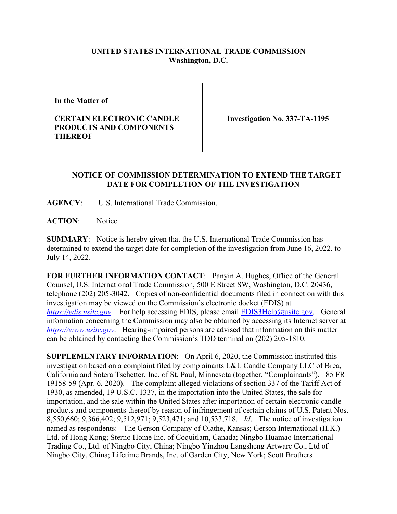## **UNITED STATES INTERNATIONAL TRADE COMMISSION Washington, D.C.**

**In the Matter of** 

## **CERTAIN ELECTRONIC CANDLE PRODUCTS AND COMPONENTS THEREOF**

**Investigation No. 337-TA-1195** 

## **NOTICE OF COMMISSION DETERMINATION TO EXTEND THE TARGET DATE FOR COMPLETION OF THE INVESTIGATION**

**AGENCY**: U.S. International Trade Commission.

**ACTION**: Notice.

**SUMMARY**: Notice is hereby given that the U.S. International Trade Commission has determined to extend the target date for completion of the investigation from June 16, 2022, to July 14, 2022.

**FOR FURTHER INFORMATION CONTACT**: Panyin A. Hughes, Office of the General Counsel, U.S. International Trade Commission, 500 E Street SW, Washington, D.C. 20436, telephone (202) 205-3042. Copies of non-confidential documents filed in connection with this investigation may be viewed on the Commission's electronic docket (EDIS) at *[https://edis.usitc.gov](https://edis.usitc.gov/).* For help accessing EDIS, please email [EDIS3Help@usitc.gov.](mailto:EDIS3Help@usitc.gov) General information concerning the Commission may also be obtained by accessing its Internet server at *[https://www.usitc.gov](https://www.usitc.gov/)*. Hearing-impaired persons are advised that information on this matter can be obtained by contacting the Commission's TDD terminal on (202) 205-1810.

**SUPPLEMENTARY INFORMATION**: On April 6, 2020, the Commission instituted this investigation based on a complaint filed by complainants L&L Candle Company LLC of Brea, California and Sotera Tschetter, Inc. of St. Paul, Minnesota (together, "Complainants"). 85 FR 19158-59 (Apr. 6, 2020). The complaint alleged violations of section 337 of the Tariff Act of 1930, as amended, 19 U.S.C. 1337, in the importation into the United States, the sale for importation, and the sale within the United States after importation of certain electronic candle products and components thereof by reason of infringement of certain claims of U.S. Patent Nos. 8,550,660; 9,366,402; 9,512,971; 9,523,471; and 10,533,718. *Id*. The notice of investigation named as respondents: The Gerson Company of Olathe, Kansas; Gerson International (H.K.) Ltd. of Hong Kong; Sterno Home Inc. of Coquitlam, Canada; Ningbo Huamao International Trading Co., Ltd. of Ningbo City, China; Ningbo Yinzhou Langsheng Artware Co., Ltd of Ningbo City, China; Lifetime Brands, Inc. of Garden City, New York; Scott Brothers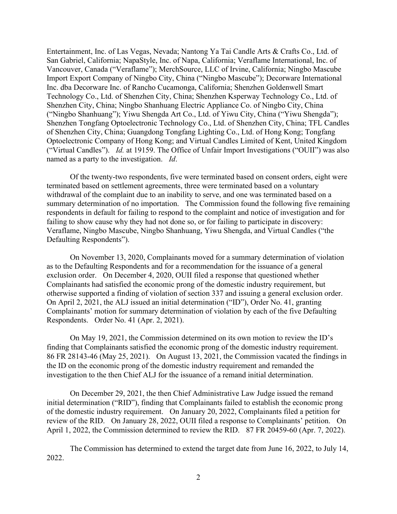Entertainment, Inc. of Las Vegas, Nevada; Nantong Ya Tai Candle Arts & Crafts Co., Ltd. of San Gabriel, California; NapaStyle, Inc. of Napa, California; Veraflame International, Inc. of Vancouver, Canada ("Veraflame"); MerchSource, LLC of Irvine, California; Ningbo Mascube Import Export Company of Ningbo City, China ("Ningbo Mascube"); Decorware International Inc. dba Decorware Inc. of Rancho Cucamonga, California; Shenzhen Goldenwell Smart Technology Co., Ltd. of Shenzhen City, China; Shenzhen Ksperway Technology Co., Ltd. of Shenzhen City, China; Ningbo Shanhuang Electric Appliance Co. of Ningbo City, China ("Ningbo Shanhuang"); Yiwu Shengda Art Co., Ltd. of Yiwu City, China ("Yiwu Shengda"); Shenzhen Tongfang Optoelectronic Technology Co., Ltd. of Shenzhen City, China; TFL Candles of Shenzhen City, China; Guangdong Tongfang Lighting Co., Ltd. of Hong Kong; Tongfang Optoelectronic Company of Hong Kong; and Virtual Candles Limited of Kent, United Kingdom ("Virtual Candles"). *Id.* at 19159. The Office of Unfair Import Investigations ("OUII") was also named as a party to the investigation. *Id*.

Of the twenty-two respondents, five were terminated based on consent orders, eight were terminated based on settlement agreements, three were terminated based on a voluntary withdrawal of the complaint due to an inability to serve, and one was terminated based on a summary determination of no importation. The Commission found the following five remaining respondents in default for failing to respond to the complaint and notice of investigation and for failing to show cause why they had not done so, or for failing to participate in discovery: Veraflame, Ningbo Mascube, Ningbo Shanhuang, Yiwu Shengda, and Virtual Candles ("the Defaulting Respondents").

On November 13, 2020, Complainants moved for a summary determination of violation as to the Defaulting Respondents and for a recommendation for the issuance of a general exclusion order. On December 4, 2020, OUII filed a response that questioned whether Complainants had satisfied the economic prong of the domestic industry requirement, but otherwise supported a finding of violation of section 337 and issuing a general exclusion order. On April 2, 2021, the ALJ issued an initial determination ("ID"), Order No. 41, granting Complainants' motion for summary determination of violation by each of the five Defaulting Respondents. Order No. 41 (Apr. 2, 2021).

On May 19, 2021, the Commission determined on its own motion to review the ID's finding that Complainants satisfied the economic prong of the domestic industry requirement. 86 FR 28143-46 (May 25, 2021). On August 13, 2021, the Commission vacated the findings in the ID on the economic prong of the domestic industry requirement and remanded the investigation to the then Chief ALJ for the issuance of a remand initial determination.

On December 29, 2021, the then Chief Administrative Law Judge issued the remand initial determination ("RID"), finding that Complainants failed to establish the economic prong of the domestic industry requirement. On January 20, 2022, Complainants filed a petition for review of the RID. On January 28, 2022, OUII filed a response to Complainants' petition. On April 1, 2022, the Commission determined to review the RID. 87 FR 20459-60 (Apr. 7, 2022).

The Commission has determined to extend the target date from June 16, 2022, to July 14, 2022.